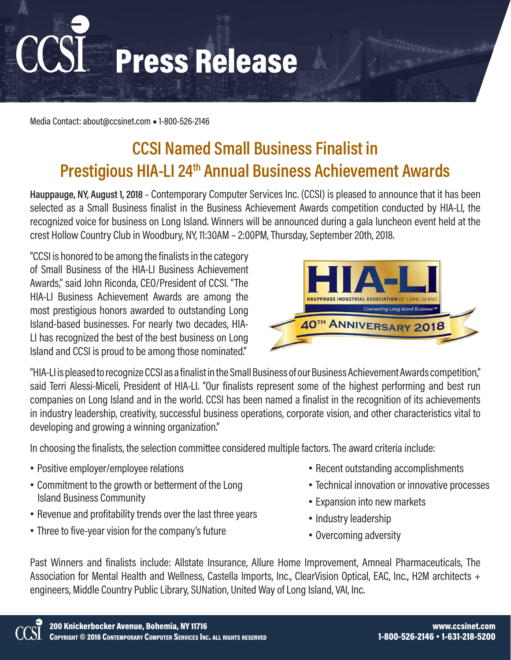Press Release

Media Contact: about@ccsinet.com **●** 1-800-526-2146

## **CCSI Named Small Business Finalist in Prestigious HIA-LI 24th Annual Business Achievement Awards**

**Hauppauge, NY, August 1, 2018** – Contemporary Computer Services Inc. (CCSI) is pleased to announce that it has been selected as a Small Business finalist in the Business Achievement Awards competition conducted by HIA-LI, the recognized voice for business on Long Island. Winners will be announced during a gala luncheon event held at the crest Hollow Country Club in Woodbury, NY, 11:30AM – 2:00PM, Thursday, September 20th, 2018.

"CCSI is honored to be among the finalists in the category of Small Business of the HIA-LI Business Achievement Awards," said John Riconda, CEO/President of CCSI. "The HIA-LI Business Achievement Awards are among the most prestigious honors awarded to outstanding Long Island-based businesses. For nearly two decades, HIA-LI has recognized the best of the best business on Long Island and CCSI is proud to be among those nominated."



"HIA-LI is pleased to recognize CCSI as a finalist in the Small Business of our Business Achievement Awards competition," said Terri Alessi-Miceli, President of HIA-LI. "Our finalists represent some of the highest performing and best run companies on Long Island and in the world. CCSI has been named a finalist in the recognition of its achievements in industry leadership, creativity, successful business operations, corporate vision, and other characteristics vital to developing and growing a winning organization."

In choosing the finalists, the selection committee considered multiple factors. The award criteria include:

- Positive employer/employee relations
- Commitment to the growth or betterment of the Long Island Business Community
- Revenue and profitability trends over the last three years
- Three to five-year vision for the company's future
- Recent outstanding accomplishments
- Technical innovation or innovative processes
- Expansion into new markets
- Industry leadership
- Overcoming adversity

Past Winners and finalists include: Allstate Insurance, Allure Home Improvement, Amneal Pharmaceuticals, The Association for Mental Health and Wellness, Castella Imports, Inc., ClearVision Optical, EAC, Inc., H2M architects + engineers, Middle Country Public Library, SUNation, United Way of Long Island, VAI, Inc.